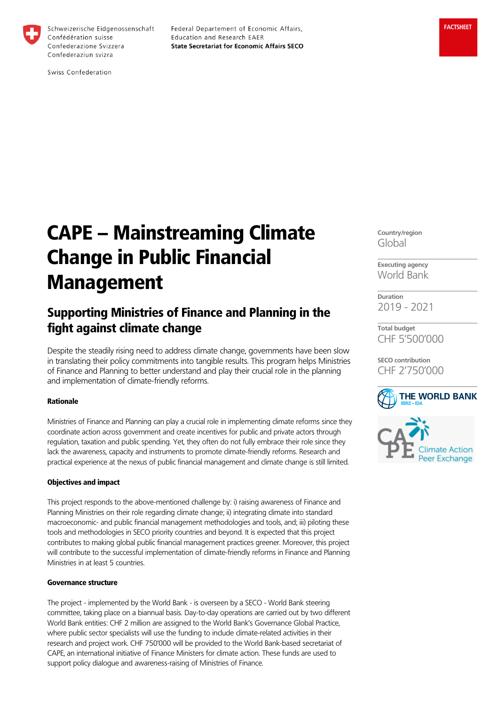

Federal Departement of Economic Affairs, Education and Research EAER **State Secretariat for Economic Affairs SECO** 

# CAPE – Mainstreaming Climate Change in Public Financial Management

# Supporting Ministries of Finance and Planning in the fight against climate change

Despite the steadily rising need to address climate change, governments have been slow in translating their policy commitments into tangible results. This program helps Ministries of Finance and Planning to better understand and play their crucial role in the planning and implementation of climate-friendly reforms.

## Rationale

Ministries of Finance and Planning can play a crucial role in implementing climate reforms since they coordinate action across government and create incentives for public and private actors through regulation, taxation and public spending. Yet, they often do not fully embrace their role since they lack the awareness, capacity and instruments to promote climate-friendly reforms. Research and practical experience at the nexus of public financial management and climate change is still limited.

#### Objectives and impact

This project responds to the above-mentioned challenge by: i) raising awareness of Finance and Planning Ministries on their role regarding climate change; ii) integrating climate into standard macroeconomic- and public financial management methodologies and tools, and; iii) piloting these tools and methodologies in SECO priority countries and beyond. It is expected that this project contributes to making global public financial management practices greener. Moreover, this project will contribute to the successful implementation of climate-friendly reforms in Finance and Planning Ministries in at least 5 countries.

#### Governance structure

The project - implemented by the World Bank - is overseen by a SECO - World Bank steering committee, taking place on a biannual basis. Day-to-day operations are carried out by two different World Bank entities: CHF 2 million are assigned to the World Bank's Governance Global Practice, where public sector specialists will use the funding to include climate-related activities in their research and project work. CHF 750'000 will be provided to the World Bank-based secretariat of CAPE, an international initiative of Finance Ministers for climate action. These funds are used to support policy dialogue and awareness-raising of Ministries of Finance.

**Country/region** Global

**Executing agency** World Bank

**Duration** 2019 - 2021

**Total budget** CHF 5'500'000

**SECO contribution** CHF 2'750'000